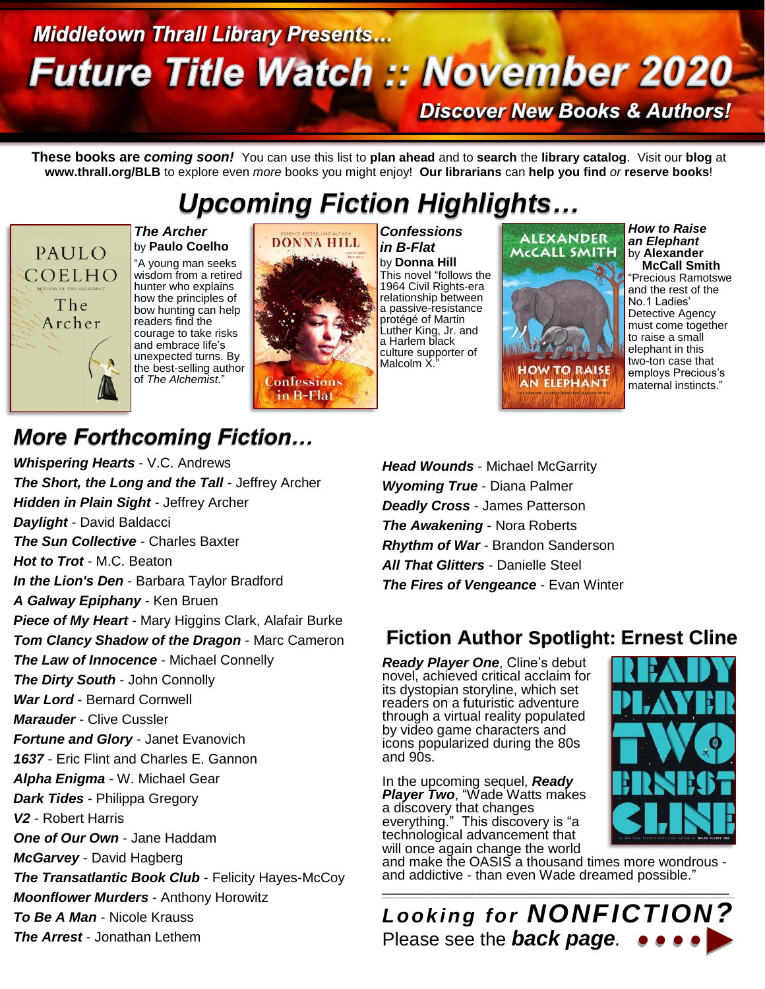# **Middletown Thrall Library Presents... Future Title Watch :: November 2020**

**Discover New Books & Authors!** 

**These books are** *coming soon!* You can use this list to **plan ahead** and to **search** the **library catalog**. Visit our **blog** at **www.thrall.org/BLB** to explore even *more* books you might enjoy! **Our librarians** can **help you find** *or* **reserve books**!

## *Upcoming Fiction Highlights…*



by **Paulo Coelho** "A young man seeks wisdom from a retired hunter who explains how the principles of bow hunting can help readers find the courage to take risks and embrace life's unexpected turns. By the best-selling author of *The Alchemist*."

*The Archer*



*Confessions in B-Flat* by **Donna Hill** This novel "follows the 1964 Civil Rights-era relationship between a passive-resistance protégé of Martin Luther King, Jr. and a Harlem black culture supporter of Malcolm X."



*How to Raise an Elephant* by **Alexander McCall Smith** "Precious Ramotswe and the rest of the No.1 Ladies' Detective Agency must come together to raise a small elephant in this two-ton case that employs Precious's maternal instincts."

## *More Forthcoming Fiction…*

*Whispering Hearts* - V.C. Andrews *The Short, the Long and the Tall* - Jeffrey Archer *Hidden in Plain Sight* - Jeffrey Archer *Daylight* - David Baldacci *The Sun Collective* - Charles Baxter *Hot to Trot* - M.C. Beaton *In the Lion's Den* - Barbara Taylor Bradford *A Galway Epiphany* - Ken Bruen *Piece of My Heart* - Mary Higgins Clark, Alafair Burke *Tom Clancy Shadow of the Dragon* - Marc Cameron *The Law of Innocence* - Michael Connelly *The Dirty South* - John Connolly *War Lord* - Bernard Cornwell *Marauder* - Clive Cussler *Fortune and Glory* - Janet Evanovich *1637* - Eric Flint and Charles E. Gannon *Alpha Enigma* - W. Michael Gear *Dark Tides* - Philippa Gregory *V2* - Robert Harris *One of Our Own* - Jane Haddam *McGarvey* - David Hagberg *The Transatlantic Book Club* - Felicity Hayes-McCoy *Moonflower Murders* - Anthony Horowitz *To Be A Man* - Nicole Krauss *The Arrest* - Jonathan Lethem

*Head Wounds* - Michael McGarrity *Wyoming True* - Diana Palmer *Deadly Cross* - James Patterson *The Awakening* - Nora Roberts *Rhythm of War* - Brandon Sanderson *All That Glitters* - Danielle Steel *The Fires of Vengeance* - Evan Winter

### **Fiction Author Spotlight: Ernest Cline**

*Ready Player One*, Cline's debut novel, achieved critical acclaim for its dystopian storyline, which set readers on a futuristic adventure through a virtual reality populated by video game characters and icons popularized during the 80s and 90s.

In the upcoming sequel, *Ready Player Two*, "Wade Watts makes a discovery that changes everything." This discovery is "a technological advancement that will once again change the world

and make the OASIS a thousand times more wondrous and addictive - than even Wade dreamed possible."